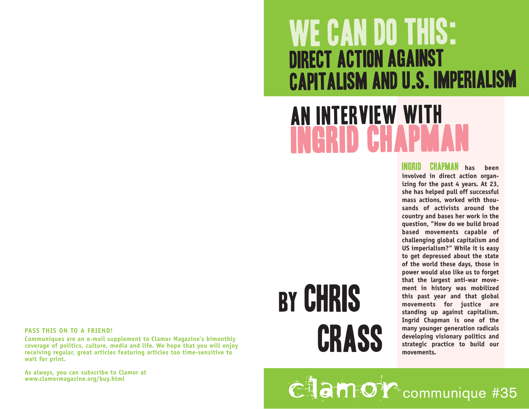## WE CAN DO THIS: Direct Action against Capitalism and U.S. Imperialism

#### An Interview with n C r d C h a p m a  $\frac{1}{1}$

Ingrid Chapman **has been involved in direct action organizing for the past 4 years. At 23, she has helped pull off successful mass actions, worked with thousands of activists around the country and bases her work in the question, "How do we build broad based movements capable of challenging global capitalism and US imperialism?" While it is easy to get depressed about the state of the world these days, those in power would also like us to forget that the largest anti-war movement in history was mobilized this past year and that global movements for justice are standing up against capitalism. Ingrid Chapman is one of the many younger generation radicals developing visionary politics and strategic practice to build our movements.**

#### **PASS THIS ON TO A FRIEND!**

**Communiques are an e-mail supplement to Clamor Magazine's bimonthly coverage of politics, culture, media and life. We hope that you will enjoy receiving regular, great articles featuring articles too time-sensitive to wait for print.** 

**As always, you can subscribe to Clamor at www.clamormagazine.org/buy.html** 

# by chris Crass

CHam Or communique #35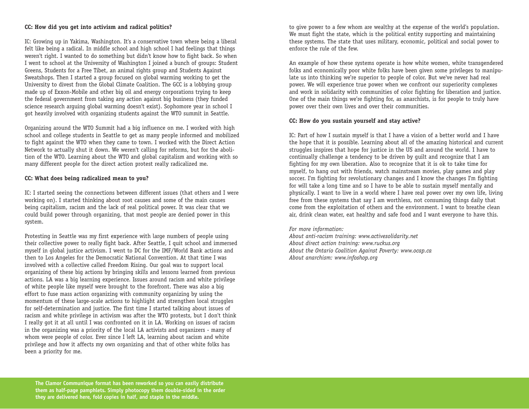#### **CC: How did you get into activism and radical politics?**

IC: Growing up in Yakima, Washington. It's a conservative town where being a liberal felt like being a radical. In middle school and high school I had feelings that things weren't right. I wanted to do something but didn't know how to fight back. So when I went to school at the University of Washington I joined a bunch of groups: Student Greens, Students for a Free Tibet, an animal rights group and Students Against Sweatshops. Then I started a group focused on global warming working to get the University to divest from the Global Climate Coalition. The GCC is a lobbying group made up of Exxon-Mobile and other big oil and energy corporations trying to keep the federal government from taking any action against big business (they funded science research arguing global warming doesn't exist). Sophomore year in school I got heavily involved with organizing students against the WTO summit in Seattle.

Organizing around the WTO Summit had a big influence on me. I worked with high school and college students in Seattle to get as many people informed and mobilized to fight against the WTO when they came to town. I worked with the Direct Action Network to actually shut it down. We weren't calling for reforms, but for the abolition of the WTO. Learning about the WTO and global capitalism and working with so many different people for the direct action protest really radicalized me.

#### **CC: What does being radicalized mean to you?**

IC: I started seeing the connections between different issues (that others and I were working on). I started thinking about root causes and some of the main causes being capitalism, racism and the lack of real political power. It was clear that we could build power through organizing, that most people are denied power in this system.

Protesting in Seattle was my first experience with large numbers of people using their collective power to really fight back. After Seattle, I quit school and immersed myself in global justice activism. I went to DC for the IMF/World Bank actions and then to Los Angeles for the Democratic National Convention. At that time I was involved with a collective called Freedom Rising. Our goal was to support local organizing of these big actions by bringing skills and lessons learned from previous actions. LA was a big learning experience. Issues around racism and white privilege of white people like myself were brought to the forefront. There was also a big effort to fuse mass action organizing with community organizing by using the momentum of these large-scale actions to highlight and strengthen local struggles for self-determination and justice. The first time I started talking about issues of racism and white privilege in activism was after the WTO protests, but I don't think I really got it at all until I was confronted on it in LA. Working on issues of racism in the organizing was a priority of the local LA activists and organizers - many of whom were people of color. Ever since I left LA, learning about racism and white privilege and how it affects my own organizing and that of other white folks has been a priority for me.

to give power to a few whom are wealthy at the expense of the world's population. We must fight the state, which is the political entity supporting and maintaining these systems. The state that uses military, economic, political and social power to enforce the rule of the few.

An example of how these systems operate is how white women, white transgendered folks and economically poor white folks have been given some privileges to manipulate us into thinking we're superior to people of color. But we've never had real power. We will experience true power when we confront our superiority complexes and work in solidarity with communities of color fighting for liberation and justice. One of the main things we're fighting for, as anarchists, is for people to truly have power over their own lives and over their communities.

#### **CC: How do you sustain yourself and stay active?**

IC: Part of how I sustain myself is that I have a vision of a better world and I have the hope that it is possible. Learning about all of the amazing historical and current struggles inspires that hope for justice in the US and around the world. I have to continually challenge a tendency to be driven by guilt and recognize that I am fighting for my own liberation. Also to recognize that it is ok to take time for myself, to hang out with friends, watch mainstream movies, play games and play soccer. I'm fighting for revolutionary changes and I know the changes I'm fighting for will take a long time and so I have to be able to sustain myself mentally and physically. I want to live in a world where I have real power over my own life, living free from these systems that say I am worthless, not consuming things daily that come from the exploitation of others and the environment. I want to breathe clean air, drink clean water, eat healthy and safe food and I want everyone to have this.

#### *For more information:*

*About anti-racism training: www.activesolidarity.net About direct action training: www.ruckus.org About the Ontario Coalition Against Poverty: www.ocap.ca About anarchism: www.infoshop.org*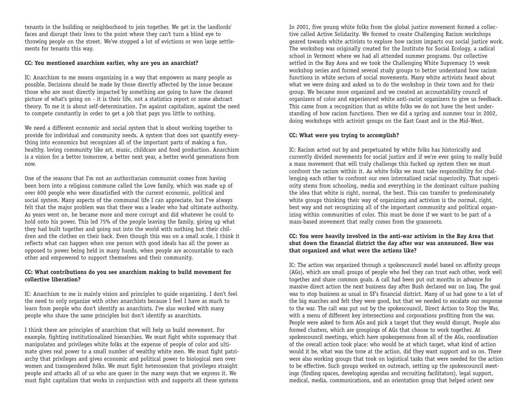tenants in the building or neighborhood to join together. We get in the landlords' faces and disrupt their lives to the point where they can't turn a blind eye to throwing people on the street. We've stopped a lot of evictions or won large settlements for tenants this way.

#### **CC: You mentioned anarchism earlier, why are you an anarchist?**

IC: Anarchism to me means organizing in a way that empowers as many people as possible. Decisions should be made by those directly affected by the issue because those who are most directly impacted by something are going to have the clearest picture of what's going on - it is their life, not a statistics report or some abstract theory. To me it is about self-determination. I'm against capitalism, against the need to compete constantly in order to get a job that pays you little to nothing.

We need a different economic and social system that is about working together to provide for individual and community needs. A system that does not quantify everything into economics but recognizes all of the important parts of making a fun, healthy, loving community like art, music, childcare and food production. Anarchism is a vision for a better tomorrow, a better next year, a better world generations from now.

One of the reasons that I'm not an authoritarian communist comes from having been born into a religious commune called the Love family, which was made up of over 600 people who were dissatisfied with the current economic, political and social system. Many aspects of the communal life I can appreciate, but I've always felt that the major problem was that there was a leader who had ultimate authority. As years went on, he became more and more corrupt and did whatever he could to hold onto his power. This led 75% of the people leaving the family, giving up what they had built together and going out into the world with nothing but their children and the clothes on their back. Even though this was on a small scale, I think it reflects what can happen when one person with good ideals has all the power as opposed to power being held in many hands, when people are accountable to each other and empowered to support themselves and their community.

#### **CC: What contributions do you see anarchism making to build movement for collective liberation?**

IC: Anarchism to me is mainly vision and principles to guide organizing. I don't feel the need to only organize with other anarchists because I feel I have as much to learn from people who don't identify as anarchists. I've also worked with many people who share the same principles but don't identify as anarchists.

I think there are principles of anarchism that will help us build movement. For example, fighting institutionalized hierarchies. We must fight white supremacy that manipulates and privileges white folks at the expense of people of color and ultimate gives real power to a small number of wealthy white men. We must fight patriarchy that privileges and gives economic and political power to biological men over wo men and transgendered folks. We must fight heterosexism that privileges straight people and attacks all of us who are queer in the many ways that we express it. We must fight capitalism that works in conjunction with and supports all these systems In 2001, five young white folks from the global justice movement formed a collective called Active Solidarity. We formed to create Challenging Racism workshops geared towards white activists to explore how racism impacts our social justice work. The workshop was originally created for the Institute for Social Ecology, a radical school in Vermont where we had all attended summer programs. Our collective settled in the Bay Area and we took the Challenging White Supremacy 15 week workshop series and formed several study groups to better understand how racism functions in white sectors of social movements. Many white activists heard about what we were doing and asked us to do the workshop in their town and for their group. We became more organized and we created an accountability council of organizers of color and experienced white anti-racist organizers to give us feedback. This came from a recognition that as white folks we do not have the best understanding of how racism functions. Then we did a spring and summer tour in 2002, doing workshops with activist groups on the East Coast and in the Mid-West.

### **CC: What were you trying to accomplish?**

IC: Racism acted out by and perpetuated by white folks has historically and currently divided movements for social justice and if we're ever going to really build a mass movement that will truly challenge this fucked up system then we must confront the racism within it. As white folks we must take responsibility for challenging each other to confront our own internalized racial superiority. That superiority stems from schooling, media and everything in the dominant culture pushing the idea that white is right, normal, the best. This can transfer to predominately white groups thinking their way of organizing and activism is the normal, right, best way and not recognizing all of the important community and political organizing within communities of color. This must be done if we want to be part of a mass-based movement that really comes from the grassroots.

#### **CC: You were heavily involved in the anti-war activism in the Bay Area that shut down the financial district the day after war was announced. How was that organized and what were the actions like?**

IC: The action was organized through a spokescouncil model based on affinity groups (AGs), which are small groups of people who feel they can trust each other, work well together and share common goals. A call had been put out months in advance for massive direct action the next business day after Bush declared war on Iraq. The goal was to stop business as usual in SF's financial district. Many of us had gone to a lot of the big marches and felt they were good, but that we needed to escalate our response to the war. The call was put out by the spokescouncil, Direct Action to Stop the War, with a menu of different key intersections and corporations profiting from the war. People were asked to form AGs and pick a target that they would disrupt. People also formed clusters, which are groupings of AGs that choose to work together. At spokescouncil meetings, which have spokespersons from all of the AGs, coordination of the overall action took place: who would be at which target, what kind of action would it be, what was the tone at the action, did they want support and so on. There were also working groups that took on logistical tasks that were needed for the action to be effective. Such groups worked on outreach, setting up the spokescouncil meetings (finding spaces, developing agendas and recruiting facilitators), legal support, medical, media, communications, and an orientation group that helped orient new